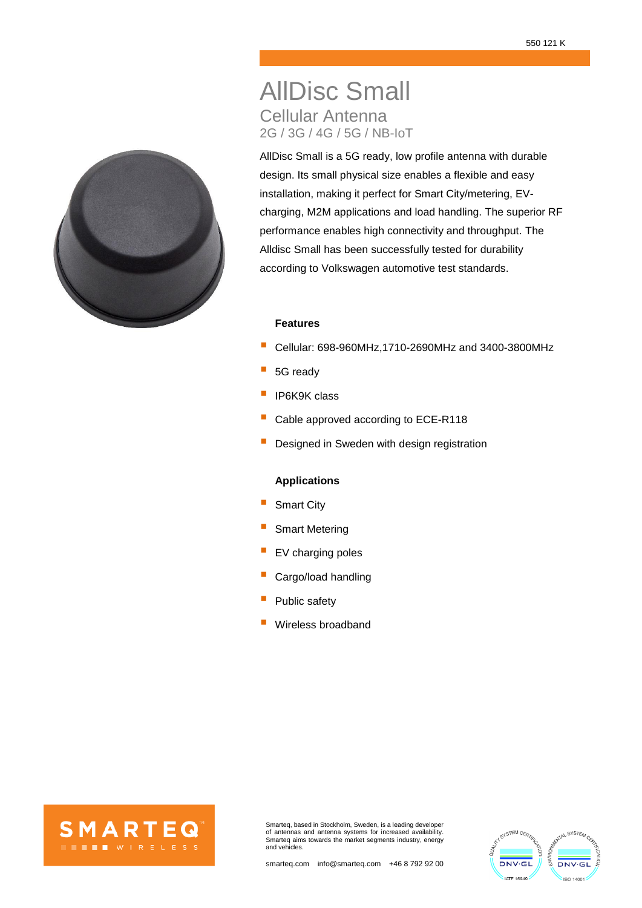# AllDisc Small Cellular Antenna 2G / 3G / 4G / 5G / NB-IoT

AllDisc Small is a 5G ready, low profile antenna with durable design. Its small physical size enables a flexible and easy installation, making it perfect for Smart City/metering, EVcharging, M2M applications and load handling. The superior RF performance enables high connectivity and throughput. The Alldisc Small has been successfully tested for durability according to Volkswagen automotive test standards.

#### **Features**

- Cellular: 698-960MHz,1710-2690MHz and 3400-3800MHz
- 5G ready
- IP6K9K class
- Cable approved according to ECE-R118
- Designed in Sweden with design registration

## **Applications**

- Smart City
- Smart Metering
- EV charging poles
- Cargo/load handling
- Public safety
- Wireless broadband





Smarteq, based in Stockholm, Sweden, is a leading developer of antennas and antenna systems for increased availability. Smarteq aims towards the market segments industry, energy and vehicles.



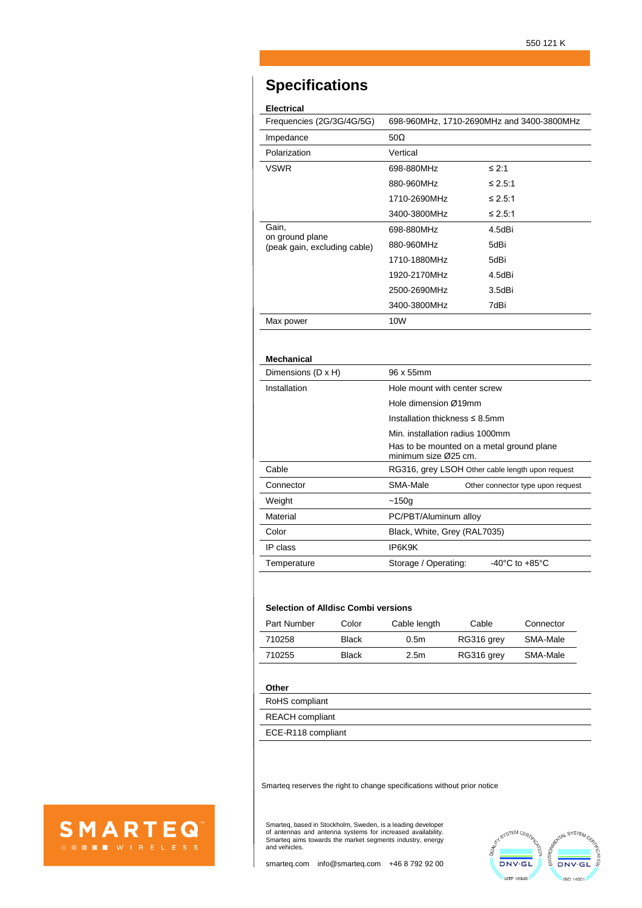## **Specifications**

### **Electrical**

| Frequencies (2G/3G/4G/5G)                       | 698-960MHz, 1710-2690MHz and 3400-3800MHz |         |  |
|-------------------------------------------------|-------------------------------------------|---------|--|
| Impedance                                       | $50\Omega$                                |         |  |
| Polarization                                    | Vertical                                  |         |  |
| <b>VSWR</b>                                     | 698-880MHz                                | ≤ 2:1   |  |
|                                                 | 880-960MHz                                | ≤ 2.5:1 |  |
|                                                 | 1710-2690MHz                              | ≤ 2.5:1 |  |
|                                                 | 3400-3800MHz                              | ≤ 2.5:1 |  |
| Gain,                                           | 698-880MHz                                | 4.5dBi  |  |
| on ground plane<br>(peak gain, excluding cable) | 880-960MHz                                | 5dBi    |  |
|                                                 | 1710-1880MHz                              | 5dBi    |  |
|                                                 | 1920-2170MHz                              | 4.5dBi  |  |
|                                                 | 2500-2690MHz                              | 3.5dBi  |  |
|                                                 | 3400-3800MHz                              | 7dBi    |  |
| Max power                                       | 10W                                       |         |  |

#### **Mechanical**

| Dimensions (D x H) | 96 x 55mm                                                         |  |  |
|--------------------|-------------------------------------------------------------------|--|--|
| Installation       | Hole mount with center screw                                      |  |  |
|                    | Hole dimension Ø19mm                                              |  |  |
|                    | Installation thickness $\leq 8.5$ mm                              |  |  |
|                    | Min. installation radius 1000mm                                   |  |  |
|                    | Has to be mounted on a metal ground plane<br>minimum size Ø25 cm. |  |  |
| Cable              | RG316, grey LSOH Other cable length upon request                  |  |  |
| Connector          | SMA-Male<br>Other connector type upon request                     |  |  |
| Weight             | ~150g                                                             |  |  |
| Material           | PC/PBT/Aluminum alloy                                             |  |  |
| Color              | Black, White, Grey (RAL7035)                                      |  |  |
| IP class           | IP6K9K                                                            |  |  |
| Temperature        | $-40^{\circ}$ C to $+85^{\circ}$ C<br>Storage / Operating:        |  |  |

#### **Selection of Alldisc Combi versions**

| Part Number | Color | Cable length     | Cable      | Connector |
|-------------|-------|------------------|------------|-----------|
| 710258      | Black | 0.5 <sub>m</sub> | RG316 grey | SMA-Male  |
| 710255      | Black | 2.5m             | RG316 grey | SMA-Male  |

#### **Other**

RoHS compliant

REACH compliant

ECE-R118 compliant

Smarteq reserves the right to change specifications without prior notice



Smarteq, based in Stockholm, Sweden, is a leading developer of antennas and antenna systems for increased availability. Smarteq aims towards the market segments industry, energy and vehicles.